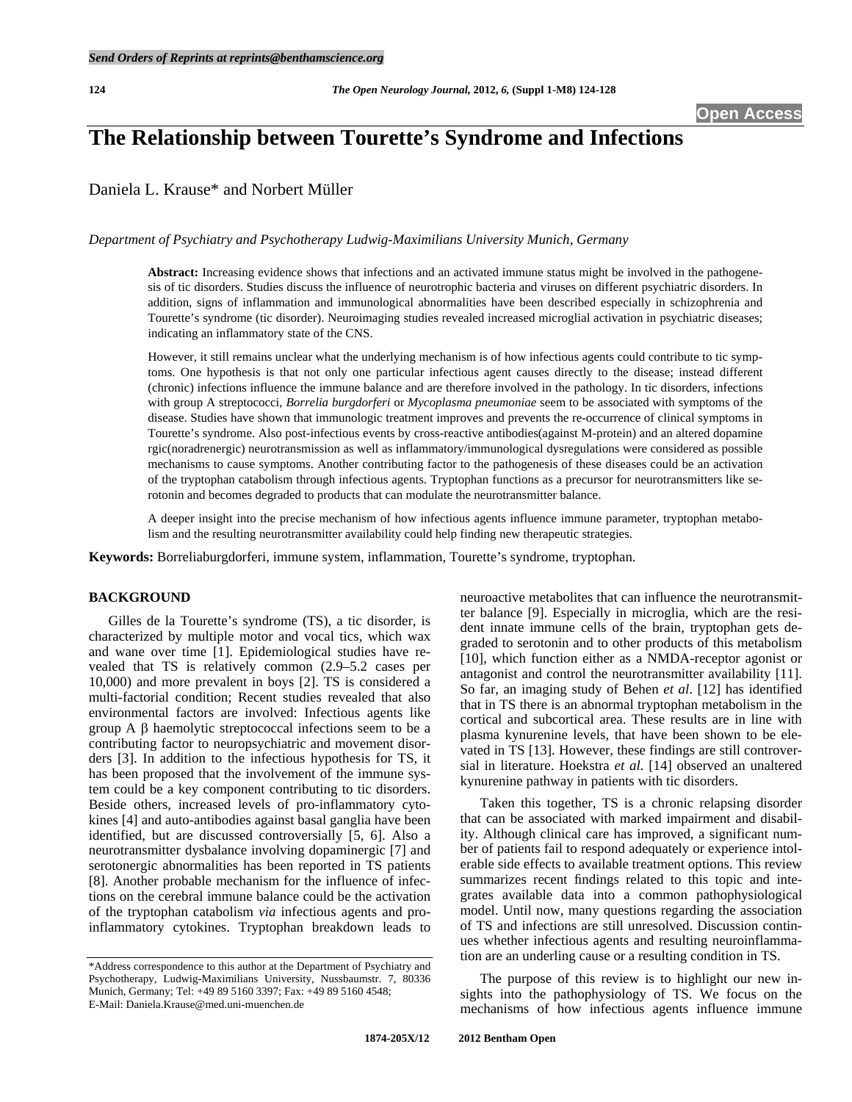# **The Relationship between Tourette's Syndrome and Infections**

Daniela L. Krause\* and Norbert Müller

*Department of Psychiatry and Psychotherapy Ludwig-Maximilians University Munich, Germany* 

**Abstract:** Increasing evidence shows that infections and an activated immune status might be involved in the pathogenesis of tic disorders. Studies discuss the influence of neurotrophic bacteria and viruses on different psychiatric disorders. In addition, signs of inflammation and immunological abnormalities have been described especially in schizophrenia and Tourette's syndrome (tic disorder). Neuroimaging studies revealed increased microglial activation in psychiatric diseases; indicating an inflammatory state of the CNS.

However, it still remains unclear what the underlying mechanism is of how infectious agents could contribute to tic symptoms. One hypothesis is that not only one particular infectious agent causes directly to the disease; instead different (chronic) infections influence the immune balance and are therefore involved in the pathology. In tic disorders, infections with group A streptococci, *Borrelia burgdorferi* or *Mycoplasma pneumoniae* seem to be associated with symptoms of the disease. Studies have shown that immunologic treatment improves and prevents the re-occurrence of clinical symptoms in Tourette's syndrome. Also post-infectious events by cross-reactive antibodies(against M-protein) and an altered dopamine rgic(noradrenergic) neurotransmission as well as inflammatory/immunological dysregulations were considered as possible mechanisms to cause symptoms. Another contributing factor to the pathogenesis of these diseases could be an activation of the tryptophan catabolism through infectious agents. Tryptophan functions as a precursor for neurotransmitters like serotonin and becomes degraded to products that can modulate the neurotransmitter balance.

A deeper insight into the precise mechanism of how infectious agents influence immune parameter, tryptophan metabolism and the resulting neurotransmitter availability could help finding new therapeutic strategies.

**Keywords:** Borreliaburgdorferi, immune system, inflammation, Tourette's syndrome, tryptophan.

#### **BACKGROUND**

 Gilles de la Tourette's syndrome (TS), a tic disorder, is characterized by multiple motor and vocal tics, which wax and wane over time [[1\]](#page-4-0). Epidemiological studies have revealed that TS is relatively common (2.9–5.2 cases per 10,000) and more prevalent in boys [\[2](#page-3-0)]. TS is considered a multi-factorial condition; Recent studies revealed that also environmental factors are involved: Infectious agents like group  $A \beta$  haemolytic streptococcal infections seem to be a contributing factor to neuropsychiatric and movement disorders [[3\]](#page-3-1). In addition to the infectious hypothesis for TS, it has been proposed that the involvement of the immune system could be a key component contributing to tic disorders. Beside others, increased levels of pro-inflammatory cytokines [[4\]](#page-3-2) and auto-antibodies against basal ganglia have been identified, but are discussed controversially [\[5](#page-3-3), [6](#page-3-4)]. Also a neurotransmitter dysbalance involving dopaminergic [[7\]](#page-3-5) and serotonergic abnormalities has been reported in TS patients [\[8](#page-3-6)]. Another probable mechanism for the influence of infections on the cerebral immune balance could be the activation of the tryptophan catabolism *via* infectious agents and proinflammatory cytokines. Tryptophan breakdown leads to

neuroactive metabolites that can influence the neurotransmitter balance [[9\]](#page-3-7). Especially in microglia, which are the resident innate immune cells of the brain, tryptophan gets degraded to serotonin and to other products of this metabolism [\[10](#page-3-8)], which function either as a NMDA-receptor agonist or antagonist and control the neurotransmitter availability [[11\]](#page-3-9). So far, an imaging study of Behen *et al*. [[12\]](#page-3-10) has identified that in TS there is an abnormal tryptophan metabolism in the cortical and subcortical area. These results are in line with plasma kynurenine levels, that have been shown to be elevated in TS [\[13](#page-3-11)]. However, these findings are still controversial in literature. Hoekstra *et al*. [[14\]](#page-3-12) observed an unaltered kynurenine pathway in patients with tic disorders.

 Taken this together, TS is a chronic relapsing disorder that can be associated with marked impairment and disability. Although clinical care has improved, a significant number of patients fail to respond adequately or experience intolerable side effects to available treatment options. This review summarizes recent findings related to this topic and integrates available data into a common pathophysiological model. Until now, many questions regarding the association of TS and infections are still unresolved. Discussion continues whether infectious agents and resulting neuroinflammation are an underling cause or a resulting condition in TS.

 The purpose of this review is to highlight our new insights into the pathophysiology of TS. We focus on the mechanisms of how infectious agents influence immune

<sup>\*</sup>Address correspondence to this author at the Department of Psychiatry and Psychotherapy, Ludwig-Maximilians University, Nussbaumstr. 7, 80336 Munich, Germany; Tel: +49 89 5160 3397; Fax: +49 89 5160 4548; E-Mail: Daniela.Krause@med.uni-muenchen.de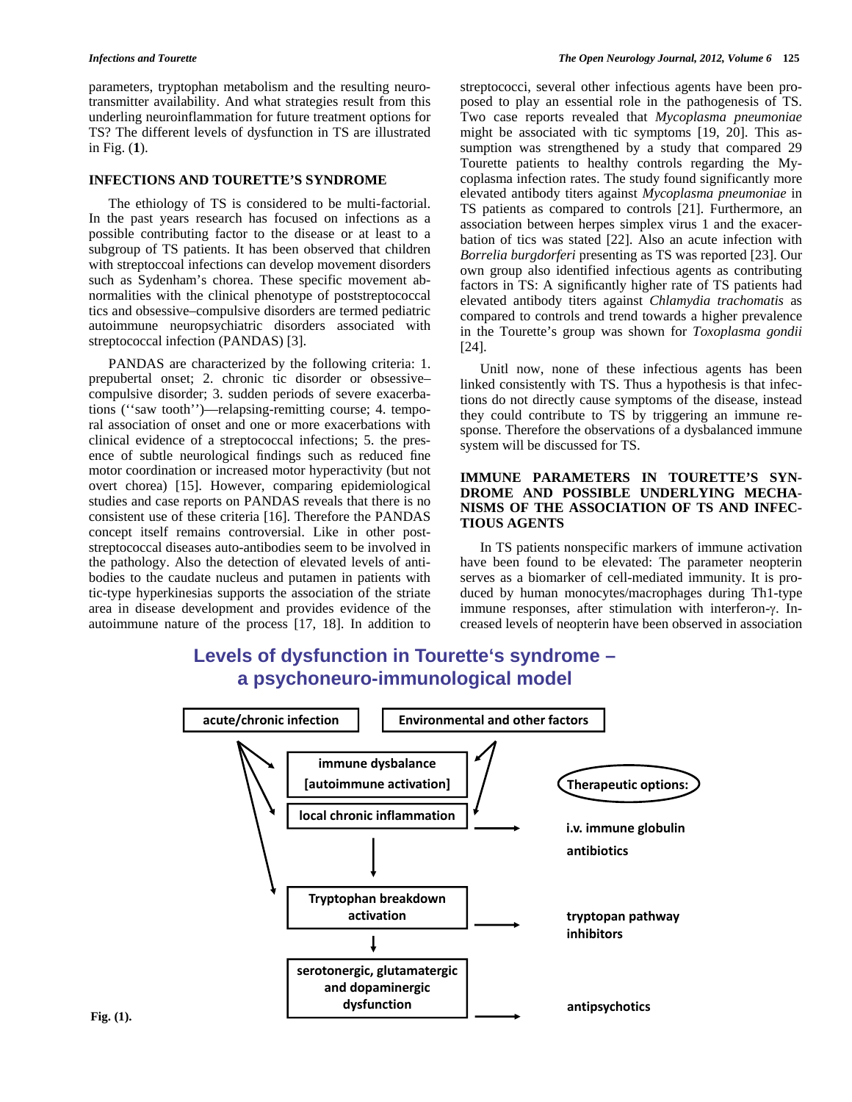parameters, tryptophan metabolism and the resulting neurotransmitter availability. And what strategies result from this underling neuroinflammation for future treatment options for TS? The different levels of dysfunction in TS are illustrated in Fig. (**1**).

### **INFECTIONS AND TOURETTE'S SYNDROME**

 The ethiology of TS is considered to be multi-factorial. In the past years research has focused on infections as a possible contributing factor to the disease or at least to a subgroup of TS patients. It has been observed that children with streptoccoal infections can develop movement disorders such as Sydenham's chorea. These specific movement abnormalities with the clinical phenotype of poststreptococcal tics and obsessive–compulsive disorders are termed pediatric autoimmune neuropsychiatric disorders associated with streptococcal infection (PANDAS) [[3\]](#page-3-1).

PANDAS are characterized by the following criteria: 1. prepubertal onset; 2. chronic tic disorder or obsessive– compulsive disorder; 3. sudden periods of severe exacerbations (''saw tooth'')—relapsing-remitting course; 4. temporal association of onset and one or more exacerbations with clinical evidence of a streptococcal infections; 5. the presence of subtle neurological findings such as reduced fine motor coordination or increased motor hyperactivity (but not overt chorea) [[15\]](#page-3-13). However, comparing epidemiological studies and case reports on PANDAS reveals that there is no consistent use of these criteria [[16\]](#page-3-14). Therefore the PANDAS concept itself remains controversial. Like in other poststreptococcal diseases auto-antibodies seem to be involved in the pathology. Also the detection of elevated levels of antibodies to the caudate nucleus and putamen in patients with tic-type hyperkinesias supports the association of the striate area in disease development and provides evidence of the autoimmune nature of the process [[17,](#page-4-1) [18\]](#page-4-2). In addition to streptococci, several other infectious agents have been proposed to play an essential role in the pathogenesis of TS. Two case reports revealed that *Mycoplasma pneumoniae* might be associated with tic symptoms [[19,](#page-4-3) [20](#page-4-4)]. This assumption was strengthened by a study that compared 29 Tourette patients to healthy controls regarding the Mycoplasma infection rates. The study found significantly more elevated antibody titers against *Mycoplasma pneumoniae* in TS patients as compared to controls [\[21](#page-4-5)]. Furthermore, an association between herpes simplex virus 1 and the exacerbation of tics was stated [\[22](#page-4-6)]. Also an acute infection with *Borrelia burgdorferi* presenting as TS was reported [[23\]](#page-4-7). Our own group also identified infectious agents as contributing factors in TS: A significantly higher rate of TS patients had elevated antibody titers against *Chlamydia trachomatis* as compared to controls and trend towards a higher prevalence in the Tourette's group was shown for *Toxoplasma gondii* [\[24](#page-4-8)].

Unitl now, none of these infectious agents has been linked consistently with TS. Thus a hypothesis is that infections do not directly cause symptoms of the disease, instead they could contribute to TS by triggering an immune response. Therefore the observations of a dysbalanced immune system will be discussed for TS.

### **IMMUNE PARAMETERS IN TOURETTE'S SYN-DROME AND POSSIBLE UNDERLYING MECHA-NISMS OF THE ASSOCIATION OF TS AND INFEC-TIOUS AGENTS**

 In TS patients nonspecific markers of immune activation have been found to be elevated: The parameter neopterin serves as a biomarker of cell-mediated immunity. It is produced by human monocytes/macrophages during Th1-type immune responses, after stimulation with interferon- $\gamma$ . Increased levels of neopterin have been observed in association

## **Levels of dysfunction in Tourette's syndrome – a psychoneuro-immunological model**

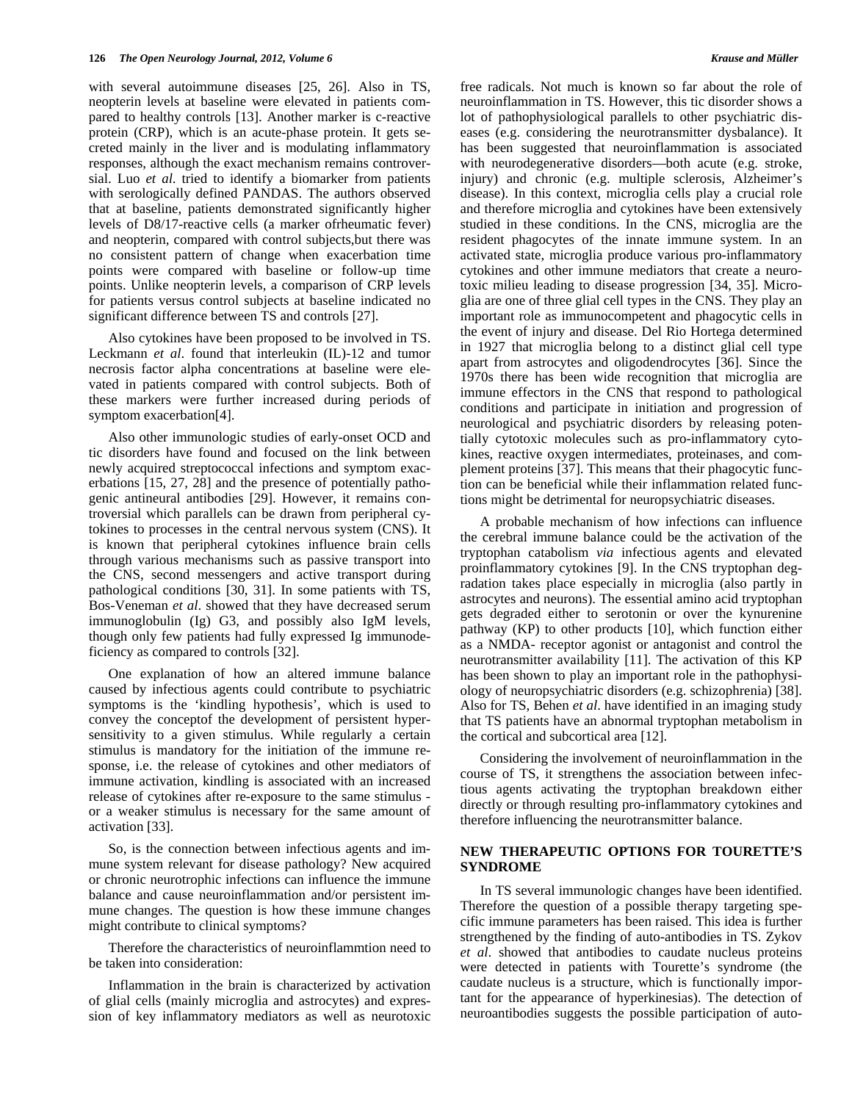with several autoimmune diseases [\[25](#page-4-9), [26](#page-4-10)]. Also in TS, neopterin levels at baseline were elevated in patients compared to healthy controls [[13\]](#page-3-11). Another marker is c-reactive protein (CRP), which is an acute-phase protein. It gets secreted mainly in the liver and is modulating inflammatory responses, although the exact mechanism remains controversial. Luo *et al*. tried to identify a biomarker from patients with serologically defined PANDAS. The authors observed that at baseline, patients demonstrated significantly higher levels of D8/17-reactive cells (a marker ofrheumatic fever) and neopterin, compared with control subjects,but there was no consistent pattern of change when exacerbation time points were compared with baseline or follow-up time points. Unlike neopterin levels, a comparison of CRP levels for patients versus control subjects at baseline indicated no significant difference between TS and controls [\[27](#page-4-11)].

Also cytokines have been proposed to be involved in TS. Leckmann *et al*. found that interleukin (IL)-12 and tumor necrosis factor alpha concentrations at baseline were elevated in patients compared with control subjects. Both of these markers were further increased during periods of symptom exacerbation[\[4\]](#page-3-2).

Also other immunologic studies of early-onset OCD and tic disorders have found and focused on the link between newly acquired streptococcal infections and symptom exacerbations [\[15,](#page-3-13) [27,](#page-4-11) [28\]](#page-4-12) and the presence of potentially pathogenic antineural antibodies [[29\]](#page-4-13). However, it remains controversial which parallels can be drawn from peripheral cytokines to processes in the central nervous system (CNS). It is known that peripheral cytokines influence brain cells through various mechanisms such as passive transport into the CNS, second messengers and active transport during pathological conditions [[30,](#page-4-14) [31](#page-4-15)]. In some patients with TS, Bos-Veneman *et al*. showed that they have decreased serum immunoglobulin (Ig) G3, and possibly also IgM levels, though only few patients had fully expressed Ig immunodeficiency as compared to controls [[32\]](#page-4-16).

One explanation of how an altered immune balance caused by infectious agents could contribute to psychiatric symptoms is the 'kindling hypothesis', which is used to convey the conceptof the development of persistent hypersensitivity to a given stimulus. While regularly a certain stimulus is mandatory for the initiation of the immune response, i.e. the release of cytokines and other mediators of immune activation, kindling is associated with an increased release of cytokines after re-exposure to the same stimulus or a weaker stimulus is necessary for the same amount of activation [\[33](#page-4-17)].

So, is the connection between infectious agents and immune system relevant for disease pathology? New acquired or chronic neurotrophic infections can influence the immune balance and cause neuroinflammation and/or persistent immune changes. The question is how these immune changes might contribute to clinical symptoms?

 Therefore the characteristics of neuroinflammtion need to be taken into consideration:

 Inflammation in the brain is characterized by activation of glial cells (mainly microglia and astrocytes) and expression of key inflammatory mediators as well as neurotoxic free radicals. Not much is known so far about the role of neuroinflammation in TS. However, this tic disorder shows a lot of pathophysiological parallels to other psychiatric diseases (e.g. considering the neurotransmitter dysbalance). It has been suggested that neuroinflammation is associated with neurodegenerative disorders—both acute (e.g. stroke, injury) and chronic (e.g. multiple sclerosis, Alzheimer's disease). In this context, microglia cells play a crucial role and therefore microglia and cytokines have been extensively studied in these conditions. In the CNS, microglia are the resident phagocytes of the innate immune system. In an activated state, microglia produce various pro-inflammatory cytokines and other immune mediators that create a neurotoxic milieu leading to disease progression [\[34,](#page-4-18) [35](#page-4-19)]. Micro-

apart from astrocytes and oligodendrocytes [\[36\]](#page-4-20). Since the 1970s there has been wide recognition that microglia are immune effectors in the CNS that respond to pathological conditions and participate in initiation and progression of neurological and psychiatric disorders by releasing potentially cytotoxic molecules such as pro-inflammatory cytokines, reactive oxygen intermediates, proteinases, and complement proteins [[37\]](#page-4-21). This means that their phagocytic function can be beneficial while their inflammation related functions might be detrimental for neuropsychiatric diseases.

glia are one of three glial cell types in the CNS. They play an important role as immunocompetent and phagocytic cells in the event of injury and disease. Del Rio Hortega determined in 1927 that microglia belong to a distinct glial cell type

 A probable mechanism of how infections can influence the cerebral immune balance could be the activation of the tryptophan catabolism *via* infectious agents and elevated proinflammatory cytokines [\[9](#page-3-7)]. In the CNS tryptophan degradation takes place especially in microglia (also partly in astrocytes and neurons). The essential amino acid tryptophan gets degraded either to serotonin or over the kynurenine pathway (KP) to other products [\[10](#page-3-8)], which function either as a NMDA- receptor agonist or antagonist and control the neurotransmitter availability [\[11](#page-3-9)]. The activation of this KP has been shown to play an important role in the pathophysiology of neuropsychiatric disorders (e.g. schizophrenia) [[38\]](#page-4-22). Also for TS, Behen *et al*. have identified in an imaging study that TS patients have an abnormal tryptophan metabolism in the cortical and subcortical area [\[12\]](#page-3-10).

Considering the involvement of neuroinflammation in the course of TS, it strengthens the association between infectious agents activating the tryptophan breakdown either directly or through resulting pro-inflammatory cytokines and therefore influencing the neurotransmitter balance.

#### **NEW THERAPEUTIC OPTIONS FOR TOURETTE'S SYNDROME**

 In TS several immunologic changes have been identified. Therefore the question of a possible therapy targeting specific immune parameters has been raised. This idea is further strengthened by the finding of auto-antibodies in TS. Zykov *et al*. showed that antibodies to caudate nucleus proteins were detected in patients with Tourette's syndrome (the caudate nucleus is a structure, which is functionally important for the appearance of hyperkinesias). The detection of neuroantibodies suggests the possible participation of auto-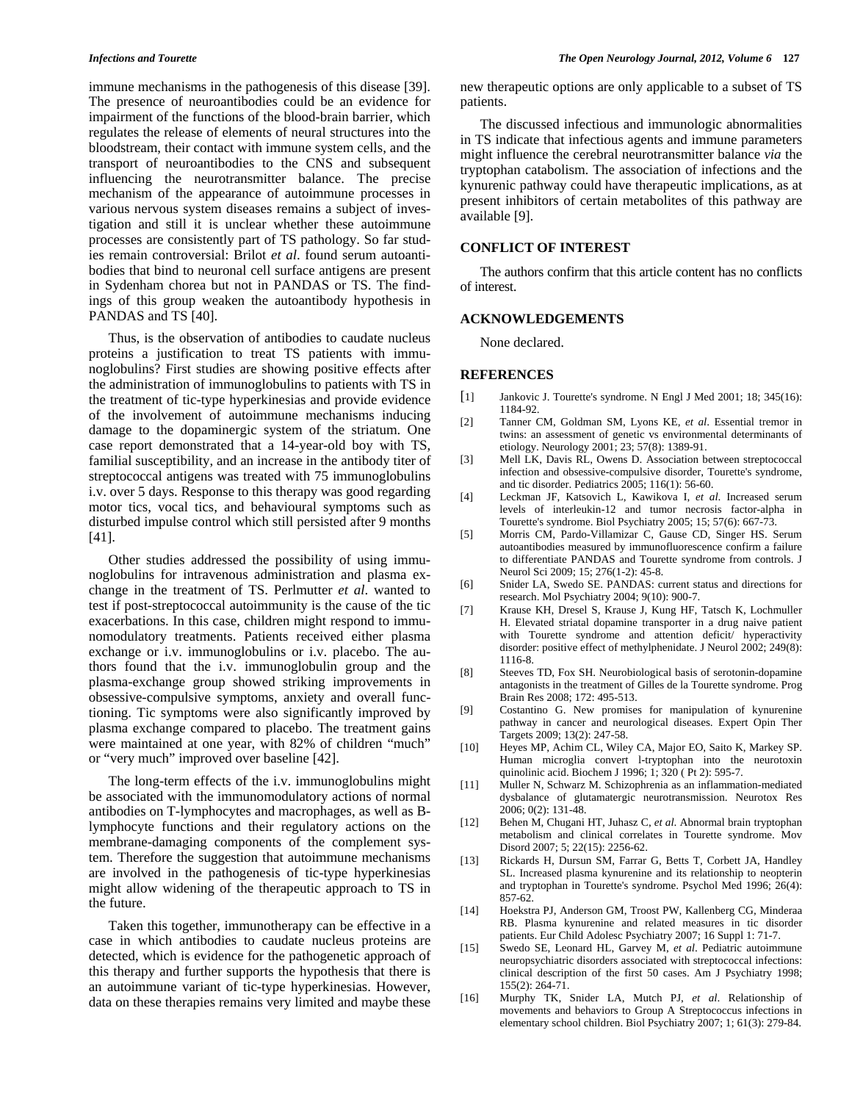immune mechanisms in the pathogenesis of this disease [[39\]](#page-4-23). The presence of neuroantibodies could be an evidence for impairment of the functions of the blood-brain barrier, which regulates the release of elements of neural structures into the bloodstream, their contact with immune system cells, and the transport of neuroantibodies to the CNS and subsequent influencing the neurotransmitter balance. The precise mechanism of the appearance of autoimmune processes in various nervous system diseases remains a subject of investigation and still it is unclear whether these autoimmune processes are consistently part of TS pathology. So far studies remain controversial: Brilot *et al*. found serum autoantibodies that bind to neuronal cell surface antigens are present in Sydenham chorea but not in PANDAS or TS. The findings of this group weaken the autoantibody hypothesis in PANDAS and TS [[40\]](#page-4-24).

Thus, is the observation of antibodies to caudate nucleus proteins a justification to treat TS patients with immunoglobulins? First studies are showing positive effects after the administration of immunoglobulins to patients with TS in the treatment of tic-type hyperkinesias and provide evidence of the involvement of autoimmune mechanisms inducing damage to the dopaminergic system of the striatum. One case report demonstrated that a 14-year-old boy with TS, familial susceptibility, and an increase in the antibody titer of streptococcal antigens was treated with 75 immunoglobulins i.v. over 5 days. Response to this therapy was good regarding motor tics, vocal tics, and behavioural symptoms such as disturbed impulse control which still persisted after 9 months [\[41](#page-4-25)].

Other studies addressed the possibility of using immunoglobulins for intravenous administration and plasma exchange in the treatment of TS. Perlmutter *et al*. wanted to test if post-streptococcal autoimmunity is the cause of the tic exacerbations. In this case, children might respond to immunomodulatory treatments. Patients received either plasma exchange or i.v. immunoglobulins or i.v. placebo. The authors found that the i.v. immunoglobulin group and the plasma-exchange group showed striking improvements in obsessive-compulsive symptoms, anxiety and overall functioning. Tic symptoms were also significantly improved by plasma exchange compared to placebo. The treatment gains were maintained at one year, with 82% of children "much" or "very much" improved over baseline [\[42](#page-4-26)].

The long-term effects of the i.v. immunoglobulins might be associated with the immunomodulatory actions of normal antibodies on T-lymphocytes and macrophages, as well as Blymphocyte functions and their regulatory actions on the membrane-damaging components of the complement system. Therefore the suggestion that autoimmune mechanisms are involved in the pathogenesis of tic-type hyperkinesias might allow widening of the therapeutic approach to TS in the future.

<span id="page-3-14"></span><span id="page-3-13"></span><span id="page-3-12"></span><span id="page-3-11"></span><span id="page-3-10"></span><span id="page-3-9"></span><span id="page-3-8"></span><span id="page-3-7"></span><span id="page-3-6"></span><span id="page-3-5"></span><span id="page-3-4"></span><span id="page-3-3"></span><span id="page-3-2"></span><span id="page-3-1"></span><span id="page-3-0"></span> Taken this together, immunotherapy can be effective in a case in which antibodies to caudate nucleus proteins are detected, which is evidence for the pathogenetic approach of this therapy and further supports the hypothesis that there is an autoimmune variant of tic-type hyperkinesias. However, data on these therapies remains very limited and maybe these

new therapeutic options are only applicable to a subset of TS patients.

 The discussed infectious and immunologic abnormalities in TS indicate that infectious agents and immune parameters might influence the cerebral neurotransmitter balance *via* the tryptophan catabolism. The association of infections and the kynurenic pathway could have therapeutic implications, as at present inhibitors of certain metabolites of this pathway are available [[9\]](#page-3-7).

### **CONFLICT OF INTEREST**

 The authors confirm that this article content has no conflicts of interest.

#### **ACKNOWLEDGEMENTS**

None declared.

#### **REFERENCES**

- [1] Jankovic J. Tourette's syndrome. N Engl J Med 2001; 18; 345(16): 1184-92.
- [2] Tanner CM, Goldman SM, Lyons KE, *et al*. Essential tremor in twins: an assessment of genetic vs environmental determinants of etiology. Neurology 2001; 23; 57(8): 1389-91.
- [3] Mell LK, Davis RL, Owens D. Association between streptococcal infection and obsessive-compulsive disorder, Tourette's syndrome, and tic disorder. Pediatrics 2005; 116(1): 56-60.
- [4] Leckman JF, Katsovich L, Kawikova I, *et al*. Increased serum levels of interleukin-12 and tumor necrosis factor-alpha in Tourette's syndrome. Biol Psychiatry 2005; 15; 57(6): 667-73.
- [5] Morris CM, Pardo-Villamizar C, Gause CD, Singer HS. Serum autoantibodies measured by immunofluorescence confirm a failure to differentiate PANDAS and Tourette syndrome from controls. J Neurol Sci 2009; 15; 276(1-2): 45-8.
- [6] Snider LA, Swedo SE. PANDAS: current status and directions for research. Mol Psychiatry 2004; 9(10): 900-7.
- [7] Krause KH, Dresel S, Krause J, Kung HF, Tatsch K, Lochmuller H. Elevated striatal dopamine transporter in a drug naive patient with Tourette syndrome and attention deficit/ hyperactivity disorder: positive effect of methylphenidate. J Neurol 2002; 249(8): 1116-8.
- [8] Steeves TD, Fox SH. Neurobiological basis of serotonin-dopamine antagonists in the treatment of Gilles de la Tourette syndrome. Prog Brain Res 2008; 172: 495-513.
- [9] Costantino G. New promises for manipulation of kynurenine pathway in cancer and neurological diseases. Expert Opin Ther Targets 2009; 13(2): 247-58.
- [10] Heyes MP, Achim CL, Wiley CA, Major EO, Saito K, Markey SP. Human microglia convert l-tryptophan into the neurotoxin quinolinic acid. Biochem J 1996; 1; 320 ( Pt 2): 595-7.
- [11] Muller N, Schwarz M. Schizophrenia as an inflammation-mediated dysbalance of glutamatergic neurotransmission. Neurotox Res 2006; 0(2): 131-48.
- [12] Behen M, Chugani HT, Juhasz C, *et al*. Abnormal brain tryptophan metabolism and clinical correlates in Tourette syndrome. Mov Disord 2007; 5; 22(15): 2256-62.
- [13] Rickards H, Dursun SM, Farrar G, Betts T, Corbett JA, Handley SL. Increased plasma kynurenine and its relationship to neopterin and tryptophan in Tourette's syndrome. Psychol Med 1996; 26(4): 857-62.
- [14] Hoekstra PJ, Anderson GM, Troost PW, Kallenberg CG, Minderaa RB. Plasma kynurenine and related measures in tic disorder patients. Eur Child Adolesc Psychiatry 2007; 16 Suppl 1: 71-7.
- [15] Swedo SE, Leonard HL, Garvey M, *et al*. Pediatric autoimmune neuropsychiatric disorders associated with streptococcal infections: clinical description of the first 50 cases. Am J Psychiatry 1998; 155(2): 264-71.
- [16] Murphy TK, Snider LA, Mutch PJ, *et al*. Relationship of movements and behaviors to Group A Streptococcus infections in elementary school children. Biol Psychiatry 2007; 1; 61(3): 279-84.